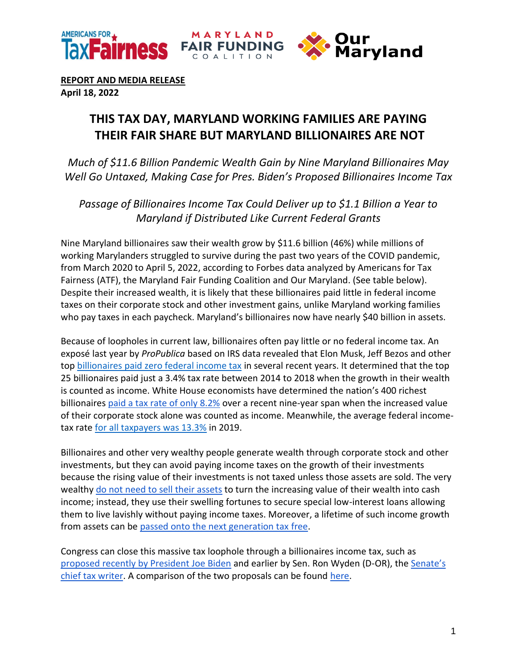



**REPORT AND MEDIA RELEASE**

**April 18, 2022**

## **THIS TAX DAY, MARYLAND WORKING FAMILIES ARE PAYING THEIR FAIR SHARE BUT MARYLAND BILLIONAIRES ARE NOT**

*Much of \$11.6 Billion Pandemic Wealth Gain by Nine Maryland Billionaires May Well Go Untaxed, Making Case for Pres. Biden's Proposed Billionaires Income Tax*

*Passage of Billionaires Income Tax Could Deliver up to \$1.1 Billion a Year to Maryland if Distributed Like Current Federal Grants*

Nine Maryland billionaires saw their wealth grow by \$11.6 billion (46%) while millions of working Marylanders struggled to survive during the past two years of the COVID pandemic, from March 2020 to April 5, 2022, according to Forbes data analyzed by Americans for Tax Fairness (ATF), the Maryland Fair Funding Coalition and Our Maryland. (See table below). Despite their increased wealth, it is likely that these billionaires paid little in federal income taxes on their corporate stock and other investment gains, unlike Maryland working families who pay taxes in each paycheck. Maryland's billionaires now have nearly \$40 billion in assets.

Because of loopholes in current law, billionaires often pay little or no federal income tax. An exposé last year by *ProPublica* based on IRS data revealed that Elon Musk, Jeff Bezos and other to[p](https://americansfortaxfairness.org/wp-content/uploads/ProPublica-Billionaires-Fact-Sheet-Updated.pdf) [billionaires paid zero federal income tax](https://americansfortaxfairness.org/wp-content/uploads/ProPublica-Billionaires-Fact-Sheet-Updated.pdf) in several recent years. It determined that the top 25 billionaires paid just a 3.4% tax rate between 2014 to 2018 when the growth in their wealth is counted as income. White House economists have determined the nation's 400 richest billionaire[s](https://www.whitehouse.gov/cea/written-materials/2021/09/23/what-is-the-average-federal-individual-income-tax-rate-on-the-wealthiest-americans/) [paid a tax rate of only 8.2%](https://www.whitehouse.gov/cea/written-materials/2021/09/23/what-is-the-average-federal-individual-income-tax-rate-on-the-wealthiest-americans/) over a recent nine-year span when the increased value of their corporate stock alone was counted as income. Meanwhile, the average federal incometax rate [for all taxpayers was 13.3%](https://taxfoundation.org/summary-latest-federal-income-tax-data-2022-update/) in 2019.

Billionaires and other very wealthy people generate wealth through corporate stock and other investments, but they can avoid paying income taxes on the growth of their investments because the rising value of their investments is not taxed unless those assets are sold. The very wealthy [do not need to sell their assets](https://www.wsj.com/articles/buy-borrow-die-how-rich-americans-live-off-their-paper-wealth-11625909583) to turn the increasing value of their wealth into cash income; instead, they use their swelling fortunes to secure special low-interest loans allowing them to live lavishly without paying income taxes. Moreover, a lifetime of such income growth from assets can b[e](https://americansfortaxfairness.org/issue/stop-protecting-billionaires-close-stepped-basis-loophole/) [passed onto the next generation tax](https://americansfortaxfairness.org/issue/stop-protecting-billionaires-close-stepped-basis-loophole/) free.

Congress can close this massive tax loophole through a billionaires income tax, such a[s](https://www.nytimes.com/2022/03/28/us/politics/biden-billionaire-tax.html) [proposed recently by President Joe Biden](https://www.nytimes.com/2022/03/28/us/politics/biden-billionaire-tax.html) and earlier by Sen. Ron Wyden (D-OR), th[e](https://www.finance.senate.gov/chairmans-news/wyden-unveils-billionaires-income-tax) [Senate's](https://www.finance.senate.gov/chairmans-news/wyden-unveils-billionaires-income-tax)  [chief tax writer.](https://www.finance.senate.gov/chairmans-news/wyden-unveils-billionaires-income-tax) A comparison of the two proposals can be foun[d](https://docs.google.com/document/d/1VdQTBEMGB2dHRGIt823stOBmIdul86-N7fYAQWxp-wU/edit?usp=sharing) [here.](https://americansfortaxfairness.org/issue/comparison-biden-wyden-billionaires-income-tax-proposals-short/)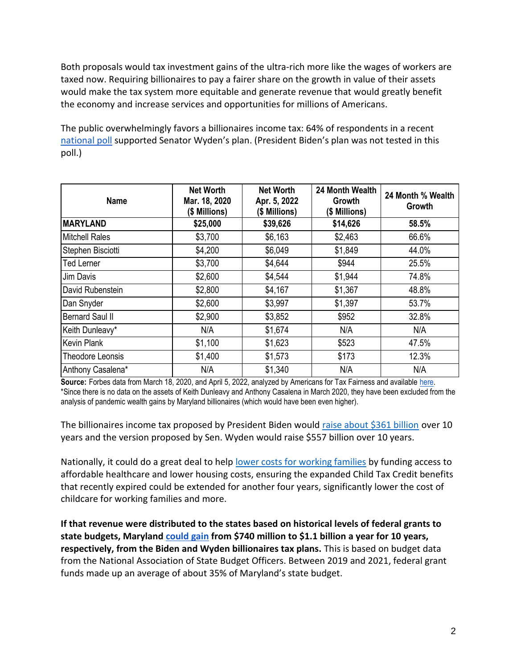Both proposals would tax investment gains of the ultra-rich more like the wages of workers are taxed now. Requiring billionaires to pay a fairer share on the growth in value of their assets would make the tax system more equitable and generate revenue that would greatly benefit the economy and increase services and opportunities for millions of Americans.

The public overwhelmingly favors a billionaires income tax: 64% of respondents in a recen[t](https://docs.google.com/document/d/1AhWvucOLV2qY6izLkZvHpPig6DDmdFaCbmeM-5E65Xw/edit) [national poll](https://docs.google.com/document/d/1AhWvucOLV2qY6izLkZvHpPig6DDmdFaCbmeM-5E65Xw/edit) supported Senator Wyden's plan. (President Biden's plan was not tested in this poll.)

| <b>Name</b>             | <b>Net Worth</b><br>Mar. 18, 2020<br>(\$ Millions) | <b>Net Worth</b><br>Apr. 5, 2022<br>(\$ Millions) | 24 Month Wealth<br>Growth<br>(\$ Millions) | 24 Month % Wealth<br>Growth |
|-------------------------|----------------------------------------------------|---------------------------------------------------|--------------------------------------------|-----------------------------|
| <b>MARYLAND</b>         | \$25,000                                           | \$39,626                                          | \$14,626                                   | 58.5%                       |
| <b>Mitchell Rales</b>   | \$3,700                                            | \$6,163                                           | \$2,463                                    | 66.6%                       |
| Stephen Bisciotti       | \$4,200                                            | \$6,049                                           | \$1,849                                    | 44.0%                       |
| <b>Ted Lerner</b>       | \$3,700                                            | \$4,644                                           | \$944                                      | 25.5%                       |
| Jim Davis               | \$2,600                                            | \$4,544                                           | \$1,944                                    | 74.8%                       |
| David Rubenstein        | \$2,800                                            | \$4,167                                           | \$1,367                                    | 48.8%                       |
| Dan Snyder              | \$2,600                                            | \$3,997                                           | \$1,397                                    | 53.7%                       |
| <b>Bernard Saul II</b>  | \$2,900                                            | \$3,852                                           | \$952                                      | 32.8%                       |
| Keith Dunleavy*         | N/A                                                | \$1,674                                           | N/A                                        | N/A                         |
| <b>Kevin Plank</b>      | \$1,100                                            | \$1,623                                           | \$523                                      | 47.5%                       |
| <b>Theodore Leonsis</b> | \$1,400                                            | \$1,573                                           | \$173                                      | 12.3%                       |
| Anthony Casalena*       | N/A                                                | \$1,340                                           | N/A                                        | N/A                         |

**Source:** Forbes data from March 18, 2020, and April 5, 2022, analyzed by Americans for Tax Fairness and available [here.](https://docs.google.com/spreadsheets/d/1MksOhwmIojtZihAmPcfcYeaGoG3FOFZmiKUza1dIRD4/edit?usp=sharing) \*Since there is no data on the assets of Keith Dunleavy and Anthony Casalena in March 2020, they have been excluded from the analysis of pandemic wealth gains by Maryland billionaires (which would have been even higher).

The billionaires income tax proposed by President Biden would [raise about \\$361 billion](https://americansfortaxfairness.org/issue/comparison-biden-wyden-billionaires-income-tax-proposals-short/) over 10 years and the version proposed by Sen. Wyden would raise \$557 billion over 10 years.

Nationally, it could do a great deal to hel[p](https://americansfortaxfairness.org/issue/6-ways-spend-revenue-billionaires-income-tax/) [lower costs for working families](https://americansfortaxfairness.org/issue/6-ways-spend-revenue-billionaires-income-tax/) by funding access to affordable healthcare and lower housing costs, ensuring the expanded Child Tax Credit benefits that recently expired could be extended for another four years, significantly lower the cost of childcare for working families and more.

**If that revenue were distributed to the states based on historical levels of federal grants to state budgets, Marylan[d](https://docs.google.com/spreadsheets/d/1uMGQ0_Ow8ssIrktfYIvIQZwB44zOHf82ILpvh5kzWUI/edit?usp=sharing) [could gain](https://docs.google.com/spreadsheets/d/1uMGQ0_Ow8ssIrktfYIvIQZwB44zOHf82ILpvh5kzWUI/edit?usp=sharing) from \$740 million to \$1.1 billion a year for 10 years, respectively, from the Biden and Wyden billionaires tax plans.** This is based on budget data from the National Association of State Budget Officers. Between 2019 and 2021, federal grant funds made up an average of about 35% of Maryland's state budget.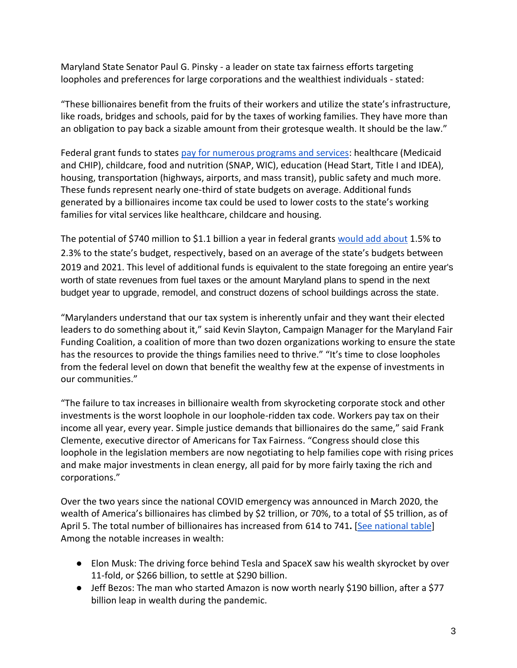Maryland State Senator Paul G. Pinsky - a leader on state tax fairness efforts targeting loopholes and preferences for large corporations and the wealthiest individuals - stated:

"These billionaires benefit from the fruits of their workers and utilize the state's infrastructure, like roads, bridges and schools, paid for by the taxes of working families. They have more than an obligation to pay back a sizable amount from their grotesque wealth. It should be the law."

Federal grant funds to states [pay for numerous programs and services:](https://www.cbpp.org/research/state-budget-and-tax/federal-aid-to-state-and-local-governments) healthcare (Medicaid and CHIP), childcare, food and nutrition (SNAP, WIC), education (Head Start, Title I and IDEA), housing, transportation (highways, airports, and mass transit), public safety and much more. These funds represent nearly one-third of state budgets on average. Additional funds generated by a billionaires income tax could be used to lower costs to the state's working families for vital services like healthcare, childcare and housing.

The potential of \$740 million to \$1.1 billion a year in federal grant[s](https://docs.google.com/spreadsheets/d/1uMGQ0_Ow8ssIrktfYIvIQZwB44zOHf82ILpvh5kzWUI/edit?usp=sharing) [would add about](https://docs.google.com/spreadsheets/d/1uMGQ0_Ow8ssIrktfYIvIQZwB44zOHf82ILpvh5kzWUI/edit?usp=sharing) 1.5% to 2.3% to the state's budget, respectively, based on an average of the state's budgets between 2019 and 2021. This level of additional funds is equivalent to the state foregoing an entire year's worth of state revenues from fuel taxes or the amount Maryland plans to spend in the next budget year to upgrade, remodel, and construct dozens of school buildings across the state.

"Marylanders understand that our tax system is inherently unfair and they want their elected leaders to do something about it," said Kevin Slayton, Campaign Manager for the Maryland Fair Funding Coalition, a coalition of more than two dozen organizations working to ensure the state has the resources to provide the things families need to thrive." "It's time to close loopholes from the federal level on down that benefit the wealthy few at the expense of investments in our communities."

"The failure to tax increases in billionaire wealth from skyrocketing corporate stock and other investments is the worst loophole in our loophole-ridden tax code. Workers pay tax on their income all year, every year. Simple justice demands that billionaires do the same," said Frank Clemente, executive director of Americans for Tax Fairness. "Congress should close this loophole in the legislation members are now negotiating to help families cope with rising prices and make major investments in clean energy, all paid for by more fairly taxing the rich and corporations."

Over the two years since the national COVID emergency was announced in March 2020, the wealth of America's billionaires has climbed by \$2 trillion, or 70%, to a total of \$5 trillion, as of April 5. The total number of billionaires has increased from 614 to 741**.** [\[See national table\]](https://docs.google.com/spreadsheets/d/1MksOhwmIojtZihAmPcfcYeaGoG3FOFZmiKUza1dIRD4/edit?usp=sharing) Among the notable increases in wealth:

- Elon Musk: The driving force behind Tesla and SpaceX saw his wealth skyrocket by over 11-fold, or \$266 billion, to settle at \$290 billion.
- Jeff Bezos: The man who started Amazon is now worth nearly \$190 billion, after a \$77 billion leap in wealth during the pandemic.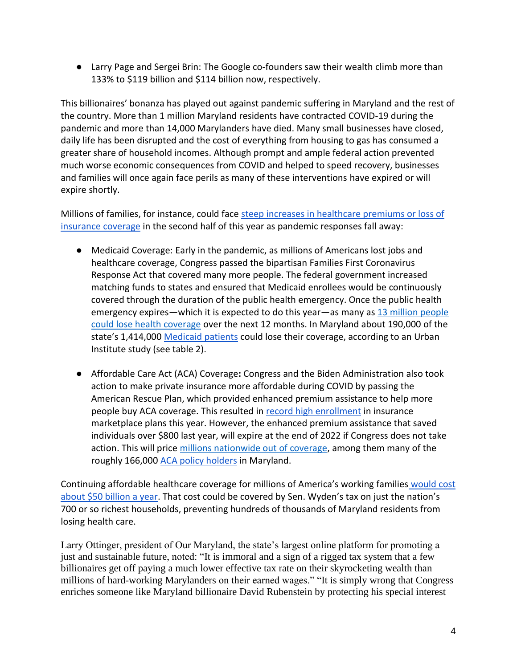● Larry Page and Sergei Brin: The Google co-founders saw their wealth climb more than 133% to \$119 billion and \$114 billion now, respectively.

This billionaires' bonanza has played out against pandemic suffering in Maryland and the rest of the country. More than 1 million Maryland residents have contracted COVID-19 during the pandemic and more than 14,000 Marylanders have died. Many small businesses have closed, daily life has been disrupted and the cost of everything from housing to gas has consumed a greater share of household incomes. Although prompt and ample federal action prevented much worse economic consequences from COVID and helped to speed recovery, businesses and families will once again face perils as many of these interventions have expired or will expire shortly.

Millions of families, for instance, could face [steep increases in healthcare premiums or loss of](https://www.nytimes.com/2022/04/04/opinion/covid-medicaid-loss.html)  [insurance coverage](https://www.nytimes.com/2022/04/04/opinion/covid-medicaid-loss.html) in the second half of this year as pandemic responses fall away:

- Medicaid Coverage: Early in the pandemic, as millions of Americans lost jobs and healthcare coverage, Congress passed the bipartisan Families First Coronavirus Response Act that covered many more people. The federal government increased matching funds to states and ensured that Medicaid enrollees would be continuously covered through the duration of the public health emergency. Once the public health emergency expires—which it is expected to do this year—as many a[s](https://www.urban.org/sites/default/files/2022-03/what-will-happen-to-medicaid-enrollees-health-coverage-after-the-public-health-emergency_1_1.pdf) [13 million people](https://www.urban.org/sites/default/files/2022-03/what-will-happen-to-medicaid-enrollees-health-coverage-after-the-public-health-emergency_1_1.pdf)  [could lose health coverage](https://www.urban.org/sites/default/files/2022-03/what-will-happen-to-medicaid-enrollees-health-coverage-after-the-public-health-emergency_1_1.pdf) over the next 12 months. In Maryland about 190,000 of the state's 1,414,00[0](https://www.medicaid.gov/medicaid/program-information/medicaid-and-chip-enrollment-data/report-highlights/index.html) [Medicaid patients](https://www.medicaid.gov/medicaid/program-information/medicaid-and-chip-enrollment-data/report-highlights/index.html) could lose their coverage, according to an Urban Institute study (see table 2).
- Affordable Care Act (ACA) Coverage**:** Congress and the Biden Administration also took action to make private insurance more affordable during COVID by passing the American Rescue Plan, which provided enhanced premium assistance to help more people buy ACA coverage. This resulted i[n](https://www.whitehouse.gov/briefing-room/statements-releases/2022/03/10/during-week-of-anniversary-of-american-rescue-plan-biden-harris-administration-highlights-health-insurance-subsidies-that-promoted-critical-increases-in-enrollment-and-cost-savings/) [record high enrollment](https://www.whitehouse.gov/briefing-room/statements-releases/2022/03/10/during-week-of-anniversary-of-american-rescue-plan-biden-harris-administration-highlights-health-insurance-subsidies-that-promoted-critical-increases-in-enrollment-and-cost-savings/) in insurance marketplace plans this year. However, the enhanced premium assistance that saved individuals over \$800 last year, will expire at the end of 2022 if Congress does not take action. This will pric[e](https://tcf.org/content/commentary/american-rescue-plans-premium-assistance-must-made-permanent/?agreed=1) [millions nationwide out of coverage,](https://tcf.org/content/commentary/american-rescue-plans-premium-assistance-must-made-permanent/?agreed=1) among them many of the roughly 166,00[0](https://www.kff.org/health-reform/state-indicator/marketplace-enrollment/?currentTimeframe=0&sortModel=%7B%22colId%22:%22Location%22,%22sort%22:%22asc%22%7D) [ACA policy holders](https://www.kff.org/health-reform/state-indicator/marketplace-enrollment/?currentTimeframe=0&sortModel=%7B%22colId%22:%22Location%22,%22sort%22:%22asc%22%7D) in Maryland.

Continuing affordable healthcare coverage for millions of America's working families [would cost](https://www.cbo.gov/system/files/2021-12/57673-BBBA-GrahamSmith-Letter.pdf)  [about \\$50 billion a year](https://www.cbo.gov/system/files/2021-12/57673-BBBA-GrahamSmith-Letter.pdf). That cost could be covered by Sen. Wyden's tax on just the nation's 700 or so richest households, preventing hundreds of thousands of Maryland residents from losing health care.

Larry Ottinger, president of Our Maryland, the state's largest online platform for promoting a just and sustainable future, noted: "It is immoral and a sign of a rigged tax system that a few billionaires get off paying a much lower effective tax rate on their skyrocketing wealth than millions of hard-working Marylanders on their earned wages." "It is simply wrong that Congress enriches someone like Maryland billionaire David Rubenstein by protecting his special interest